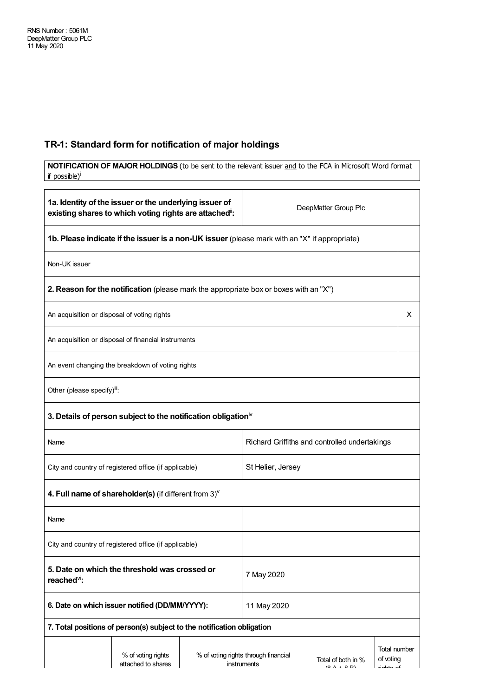## **TR-1: Standard form for notification of major holdings**

| NOTIFICATION OF MAJOR HOLDINGS (to be sent to the relevant issuer and to the FCA in Microsoft Word format<br>if possible) <sup>i</sup> |                                                                                               |             |                                                     |                                           |                                                |
|----------------------------------------------------------------------------------------------------------------------------------------|-----------------------------------------------------------------------------------------------|-------------|-----------------------------------------------------|-------------------------------------------|------------------------------------------------|
|                                                                                                                                        |                                                                                               |             |                                                     |                                           |                                                |
| 1a. Identity of the issuer or the underlying issuer of<br>existing shares to which voting rights are attached":                        |                                                                                               |             | DeepMatter Group Plc                                |                                           |                                                |
|                                                                                                                                        | 1b. Please indicate if the issuer is a non-UK issuer (please mark with an "X" if appropriate) |             |                                                     |                                           |                                                |
| Non-UK issuer                                                                                                                          |                                                                                               |             |                                                     |                                           |                                                |
|                                                                                                                                        | 2. Reason for the notification (please mark the appropriate box or boxes with an "X")         |             |                                                     |                                           |                                                |
| An acquisition or disposal of voting rights                                                                                            |                                                                                               |             |                                                     |                                           | X                                              |
|                                                                                                                                        | An acquisition or disposal of financial instruments                                           |             |                                                     |                                           |                                                |
|                                                                                                                                        | An event changing the breakdown of voting rights                                              |             |                                                     |                                           |                                                |
| Other (please specify) <sup>iii</sup> :                                                                                                |                                                                                               |             |                                                     |                                           |                                                |
| 3. Details of person subject to the notification obligation $\mathbb N$                                                                |                                                                                               |             |                                                     |                                           |                                                |
| Richard Griffiths and controlled undertakings<br>Name                                                                                  |                                                                                               |             |                                                     |                                           |                                                |
| City and country of registered office (if applicable)                                                                                  |                                                                                               |             | St Helier, Jersey                                   |                                           |                                                |
|                                                                                                                                        | 4. Full name of shareholder(s) (if different from $3$ ) $V$                                   |             |                                                     |                                           |                                                |
| Name                                                                                                                                   |                                                                                               |             |                                                     |                                           |                                                |
| City and country of registered office (if applicable)                                                                                  |                                                                                               |             |                                                     |                                           |                                                |
| 5. Date on which the threshold was crossed or<br>7 May 2020<br>reached <sup>vi</sup> :                                                 |                                                                                               |             |                                                     |                                           |                                                |
| 6. Date on which issuer notified (DD/MM/YYYY):                                                                                         |                                                                                               | 11 May 2020 |                                                     |                                           |                                                |
|                                                                                                                                        | 7. Total positions of person(s) subject to the notification obligation                        |             |                                                     |                                           |                                                |
|                                                                                                                                        | % of voting rights<br>attached to shares                                                      |             | % of voting rights through financial<br>instruments | Total of both in %<br>$(0 \land \cdot 0)$ | <b>Total number</b><br>of voting<br>عمر معظمات |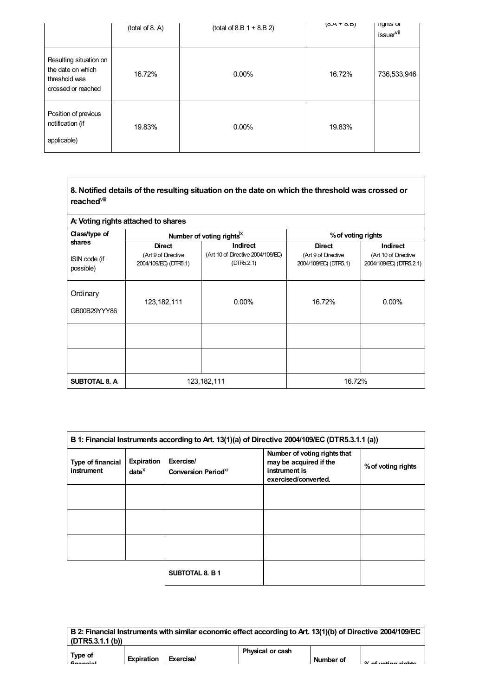|                                                                                    | (total of 8. A) | $(total of 8.B 1 + 8.B 2)$ | $(0.A + 0.B)$ | <b>ngnus</b> or<br>issuer <sup>vii</sup> |
|------------------------------------------------------------------------------------|-----------------|----------------------------|---------------|------------------------------------------|
| Resulting situation on<br>the date on which<br>threshold was<br>crossed or reached | 16.72%          | $0.00\%$                   | 16.72%        | 736,533,946                              |
| Position of previous<br>notification (if<br>applicable)                            | 19.83%          | $0.00\%$                   | 19.83%        |                                          |

| 8. Notified details of the resulting situation on the date on which the threshold was crossed or |
|--------------------------------------------------------------------------------------------------|
| reached <sup>∨⊪</sup>                                                                            |

| A: Voting rights attached to shares  |                                                               |                                                                    |                                                               |                                                             |  |
|--------------------------------------|---------------------------------------------------------------|--------------------------------------------------------------------|---------------------------------------------------------------|-------------------------------------------------------------|--|
| Class/type of                        |                                                               | Number of voting rights <sup>ix</sup>                              | % of voting rights                                            |                                                             |  |
| shares<br>ISIN code (if<br>possible) | <b>Direct</b><br>(Art 9 of Directive<br>2004/109/EC) (DTR5.1) | <b>Indirect</b><br>(Art 10 of Directive 2004/109/EC)<br>(DTR5.2.1) | <b>Direct</b><br>(Art 9 of Directive<br>2004/109/EC) (DTR5.1) | Indirect<br>(Art 10 of Directive<br>2004/109/EC) (DTR5.2.1) |  |
| Ordinary<br>GB00B29YYY86             | 123, 182, 111                                                 | $0.00\%$                                                           | 16.72%                                                        | $0.00\%$                                                    |  |
|                                      |                                                               |                                                                    |                                                               |                                                             |  |
|                                      |                                                               |                                                                    |                                                               |                                                             |  |
| <b>SUBTOTAL 8. A</b>                 | 123, 182, 111                                                 |                                                                    | 16.72%                                                        |                                                             |  |

| B 1: Financial Instruments according to Art. 13(1)(a) of Directive 2004/109/EC (DTR5.3.1.1 (a)) |                             |                                                     |                                                                                                 |                    |
|-------------------------------------------------------------------------------------------------|-----------------------------|-----------------------------------------------------|-------------------------------------------------------------------------------------------------|--------------------|
| Type of financial<br>instrument                                                                 | Expiration<br>$date^{\chi}$ | Exercise/<br><b>Conversion Period</b> <sup>XI</sup> | Number of voting rights that<br>may be acquired if the<br>instrument is<br>exercised/converted. | % of voting rights |
|                                                                                                 |                             |                                                     |                                                                                                 |                    |
|                                                                                                 |                             |                                                     |                                                                                                 |                    |
|                                                                                                 |                             |                                                     |                                                                                                 |                    |
|                                                                                                 |                             | SUBTOTAL 8. B 1                                     |                                                                                                 |                    |

**B 2: Financial Instrumentswith similar economic effect according to Art. 13(1)(b) of Directive 2004/109/EC (DTR5.3.1.1 (b)) Type of Physical or cash**

**financial**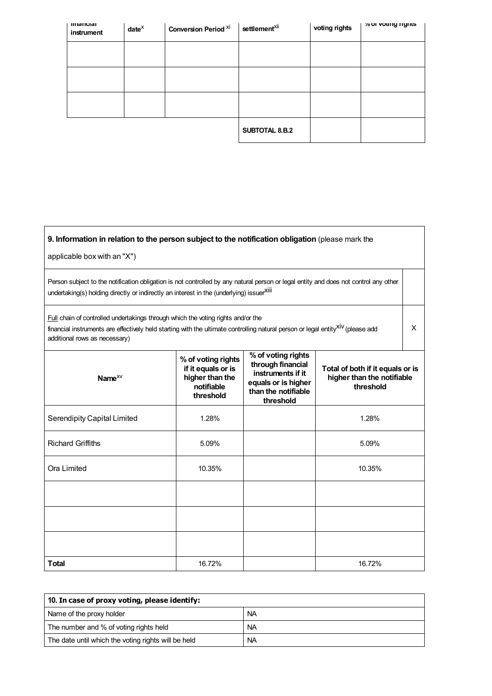| mnancial<br>instrument | $date^{\chi}$ | <b>Conversion Period Xi</b> | settlement <sup>xii</sup> | voting rights | % or voung rights |
|------------------------|---------------|-----------------------------|---------------------------|---------------|-------------------|
|                        |               |                             |                           |               |                   |
|                        |               |                             |                           |               |                   |
|                        |               |                             |                           |               |                   |
|                        |               |                             | SUBTOTAL 8.B.2            |               |                   |

| 9. Information in relation to the person subject to the notification obligation (please mark the<br>applicable box with an "X")                                                                                                                                         |                                                                                        |                                                                                                                         |                                                                             |  |  |
|-------------------------------------------------------------------------------------------------------------------------------------------------------------------------------------------------------------------------------------------------------------------------|----------------------------------------------------------------------------------------|-------------------------------------------------------------------------------------------------------------------------|-----------------------------------------------------------------------------|--|--|
| Person subject to the notification obligation is not controlled by any natural person or legal entity and does not control any other<br>undertaking(s) holding directly or indirectly an interest in the (underlying) issuerXili                                        |                                                                                        |                                                                                                                         |                                                                             |  |  |
| <b>Full</b> chain of controlled undertakings through which the voting rights and/or the<br>financial instruments are effectively held starting with the ultimate controlling natural person or legal entity <sup>XIV</sup> (please add<br>additional rows as necessary) |                                                                                        |                                                                                                                         |                                                                             |  |  |
| Name $^{XV}$                                                                                                                                                                                                                                                            | % of voting rights<br>if it equals or is<br>higher than the<br>notifiable<br>threshold | % of voting rights<br>through financial<br>instruments if it<br>equals or is higher<br>than the notifiable<br>threshold | Total of both if it equals or is<br>higher than the notifiable<br>threshold |  |  |
| Serendipity Capital Limited                                                                                                                                                                                                                                             | 1.28%                                                                                  |                                                                                                                         | 1.28%                                                                       |  |  |
| <b>Richard Griffiths</b>                                                                                                                                                                                                                                                | 5.09%                                                                                  |                                                                                                                         | 5.09%                                                                       |  |  |
| Ora Limited                                                                                                                                                                                                                                                             | 10.35%                                                                                 |                                                                                                                         | 10.35%                                                                      |  |  |
|                                                                                                                                                                                                                                                                         |                                                                                        |                                                                                                                         |                                                                             |  |  |
|                                                                                                                                                                                                                                                                         |                                                                                        |                                                                                                                         |                                                                             |  |  |
|                                                                                                                                                                                                                                                                         |                                                                                        |                                                                                                                         |                                                                             |  |  |
| <b>Total</b>                                                                                                                                                                                                                                                            | 16.72%                                                                                 |                                                                                                                         | 16.72%                                                                      |  |  |

| 10. In case of proxy voting, please identify:       |           |  |  |
|-----------------------------------------------------|-----------|--|--|
| Name of the proxy holder                            | <b>NA</b> |  |  |
| The number and % of voting rights held              | <b>NA</b> |  |  |
| The date until which the voting rights will be held | <b>NA</b> |  |  |